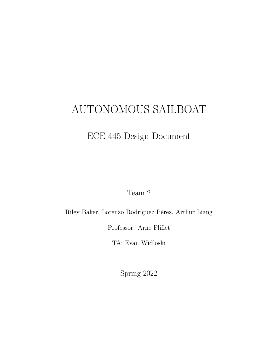# AUTONOMOUS SAILBOAT

## ECE 445 Design Document

Team 2

Riley Baker, Lorenzo Rodríguez Pérez, Arthur Liang

Professor: Arne Fliflet

TA: Evan Widloski

Spring 2022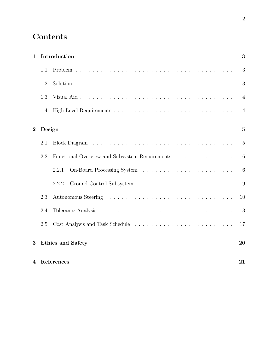## **Contents**

| $\mathbf{1}$   | Introduction |                                                |                 |
|----------------|--------------|------------------------------------------------|-----------------|
|                | 1.1          |                                                | 3               |
|                | 1.2          |                                                | 3               |
|                | 1.3          |                                                | $\overline{4}$  |
|                | 1.4          |                                                | $\overline{4}$  |
| $\overline{2}$ | Design       |                                                | $\overline{5}$  |
|                | 2.1          |                                                | $\overline{5}$  |
|                | 2.2          | Functional Overview and Subsystem Requirements | $6\phantom{.}6$ |
|                |              | 2.2.1                                          | $6\phantom{.}6$ |
|                |              | 2.2.2                                          | 9               |
|                | 2.3          |                                                | 10              |
|                | 2.4          |                                                | 13              |
|                | 2.5          |                                                | 17              |
| 3              |              | <b>Ethics and Safety</b>                       | 20              |
| $\overline{4}$ |              | References                                     | 21              |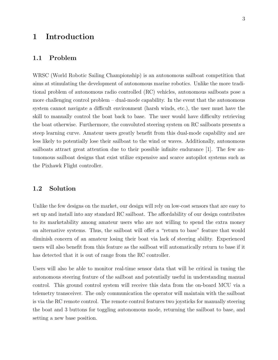## 1 Introduction

## 1.1 Problem

WRSC (World Robotic Sailing Championship) is an autonomous sailboat competition that aims at stimulating the development of autonomous marine robotics. Unlike the more traditional problem of autonomous radio controlled (RC) vehicles, autonomous sailboats pose a more challenging control problem – dual-mode capability. In the event that the autonomous system cannot navigate a difficult environment (harsh winds, etc.), the user must have the skill to manually control the boat back to base. The user would have difficulty retrieving the boat otherwise. Furthermore, the convoluted steering system on RC sailboats presents a steep learning curve. Amateur users greatly benefit from this dual-mode capability and are less likely to potentially lose their sailboat to the wind or waves. Additionally, autonomous sailboats attract great attention due to their possible infinite endurance [1]. The few autonomous sailboat designs that exist utilize expensive and scarce autopilot systems such as the Pixhawk Flight controller.

#### 1.2 Solution

Unlike the few designs on the market, our design will rely on low-cost sensors that are easy to set up and install into any standard RC sailboat. The affordability of our design contributes to its marketability among amateur users who are not willing to spend the extra money on alternative systems. Thus, the sailboat will offer a "return to base" feature that would diminish concern of an amateur losing their boat via lack of steering ability. Experienced users will also benefit from this feature as the sailboat will automatically return to base if it has detected that it is out of range from the RC controller.

Users will also be able to monitor real-time sensor data that will be critical in tuning the autonomous steering feature of the sailboat and potentially useful in understanding manual control. This ground control system will receive this data from the on-board MCU via a telemetry transceiver. The only communication the operator will maintain with the sailboat is via the RC remote control. The remote control features two joysticks for manually steering the boat and 3 buttons for toggling autonomous mode, returning the sailboat to base, and setting a new base position.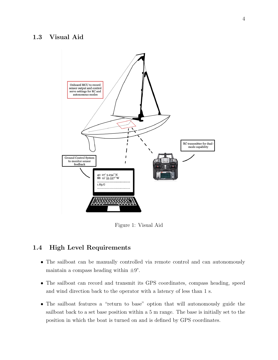### 1.3 Visual Aid



Figure 1: Visual Aid

## 1.4 High Level Requirements

- The sailboat can be manually controlled via remote control and can autonomously maintain a compass heading within  $\pm 9^{\circ}$ .
- The sailboat can record and transmit its GPS coordinates, compass heading, speed and wind direction back to the operator with a latency of less than 1 s.
- The sailboat features a "return to base" option that will autonomously guide the sailboat back to a set base position within a 5 m range. The base is initially set to the position in which the boat is turned on and is defined by GPS coordinates.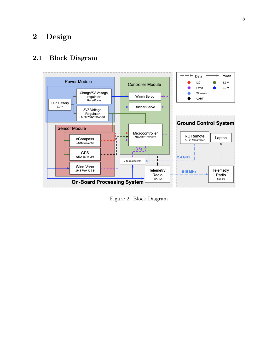## 2 Design

## 2.1 Block Diagram



Figure 2: Block Diagram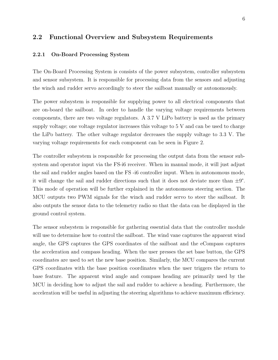#### 2.2 Functional Overview and Subsystem Requirements

#### 2.2.1 On-Board Processing System

The On-Board Processing System is consists of the power subsystem, controller subsystem and sensor subsystem. It is responsible for processing data from the sensors and adjusting the winch and rudder servo accordingly to steer the sailboat manually or autonomously.

The power subsystem is responsible for supplying power to all electrical components that are on-board the sailboat. In order to handle the varying voltage requirements between components, there are two voltage regulators. A 3.7 V LiPo battery is used as the primary supply voltage; one voltage regulator increases this voltage to 5 V and can be used to charge the LiPo battery. The other voltage regulator decreases the supply voltage to 3.3 V. The varying voltage requirements for each component can be seen in Figure 2.

The controller subsystem is responsible for processing the output data from the sensor subsystem and operator input via the FS-i6 receiver. When in manual mode, it will just adjust the sail and rudder angles based on the FS -i6 controller input. When in autonomous mode, it will change the sail and rudder directions such that it does not deviate more than  $\pm 9^{\circ}$ . This mode of operation will be further explained in the autonomous steering section. The MCU outputs two PWM signals for the winch and rudder servo to steer the sailboat. It also outputs the sensor data to the telemetry radio so that the data can be displayed in the ground control system.

The sensor subsystem is responsible for gathering essential data that the controller module will use to determine how to control the sailboat. The wind vane captures the apparent wind angle, the GPS captures the GPS coordinates of the sailboat and the eCompass captures the acceleration and compass heading. When the user presses the set base button, the GPS coordinates are used to set the new base position. Similarly, the MCU compares the current GPS coordinates with the base position coordinates when the user triggers the return to base feature. The apparent wind angle and compass heading are primarily used by the MCU in deciding how to adjust the sail and rudder to achieve a heading. Furthermore, the acceleration will be useful in adjusting the steering algorithms to achieve maximum efficiency.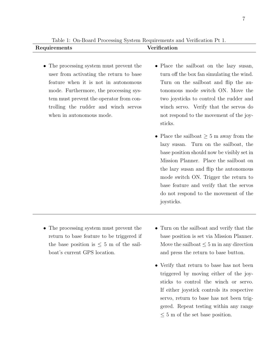Table 1: On-Board Processing System Requirements and Verification Pt 1. Requirements Verification

- The processing system must prevent the user from activating the return to base feature when it is not in autonomous mode. Furthermore, the processing system must prevent the operator from controlling the rudder and winch servos when in autonomous mode.
- Place the sailboat on the lazy susan, turn off the box fan simulating the wind. Turn on the sailboat and flip the autonomous mode switch ON. Move the two joysticks to control the rudder and winch servo. Verify that the servos do not respond to the movement of the joysticks.
- Place the sailboat  $\geq 5$  m away from the lazy susan. Turn on the sailboat, the base position should now be visibly set in Mission Planner. Place the sailboat on the lazy susan and flip the autonomous mode switch ON. Trigger the return to base feature and verify that the servos do not respond to the movement of the joysticks.
- The processing system must prevent the return to base feature to be triggered if the base position is  $\leq 5$  m of the sailboat's current GPS location.
- Turn on the sailboat and verify that the base position is set via Mission Planner. Move the sailboat  $\leq 5$  m in any direction and press the return to base button.
- Verify that return to base has not been triggered by moving either of the joysticks to control the winch or servo. If either joystick controls its respective servo, return to base has not been triggered. Repeat testing within any range  $\leq$  5 m of the set base position.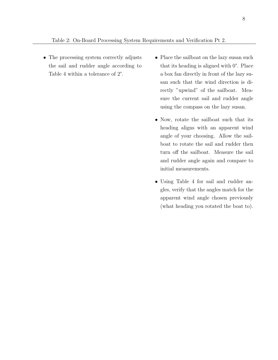- The processing system correctly adjusts the sail and rudder angle according to Table 4 within a tolerance of 2°.
- Place the sailboat on the lazy susan such that its heading is aligned with 0°. Place a box fan directly in front of the lazy susan such that the wind direction is directly "upwind" of the sailboat. Measure the current sail and rudder angle using the compass on the lazy susan.
- Now, rotate the sailboat such that its heading aligns with an apparent wind angle of your choosing. Allow the sailboat to rotate the sail and rudder then turn off the sailboat. Measure the sail and rudder angle again and compare to initial measurements.
- Using Table 4 for sail and rudder angles, verify that the angles match for the apparent wind angle chosen previously (what heading you rotated the boat to).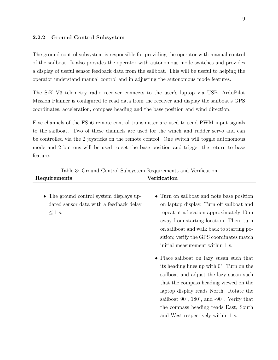#### 2.2.2 Ground Control Subsystem

The ground control subsystem is responsible for providing the operator with manual control of the sailboat. It also provides the operator with autonomous mode switches and provides a display of useful sensor feedback data from the sailboat. This will be useful to helping the operator understand manual control and in adjusting the autonomous mode features.

The SiK V3 telemetry radio receiver connects to the user's laptop via USB. ArduPilot Mission Planner is configured to read data from the receiver and display the sailboat's GPS coordinates, acceleration, compass heading and the base position and wind direction.

Five channels of the FS-i6 remote control transmitter are used to send PWM input signals to the sailboat. Two of these channels are used for the winch and rudder servo and can be controlled via the 2 joysticks on the remote control. One switch will toggle autonomous mode and 2 buttons will be used to set the base position and trigger the return to base feature.

| Table 3: Ground Control Subsystem Requirements and Verification                                    |                                                                                                                                                                                                                                                                                                                                                                                                                                                                                                                                                                                                                                                               |  |  |
|----------------------------------------------------------------------------------------------------|---------------------------------------------------------------------------------------------------------------------------------------------------------------------------------------------------------------------------------------------------------------------------------------------------------------------------------------------------------------------------------------------------------------------------------------------------------------------------------------------------------------------------------------------------------------------------------------------------------------------------------------------------------------|--|--|
| Requirements                                                                                       | Verification                                                                                                                                                                                                                                                                                                                                                                                                                                                                                                                                                                                                                                                  |  |  |
| • The ground control system displays up-<br>dated sensor data with a feedback delay<br>$\leq 1$ s. | • Turn on sailboat and note base position<br>on laptop display. Turn off sailboat and<br>repeat at a location approximately 10 m<br>away from starting location. Then, turn<br>on sailboat and walk back to starting po-<br>sition; verify the GPS coordinates match<br>initial measurement within 1 s.<br>• Place sailboat on lazy susan such that<br>its heading lines up with $0^{\circ}$ . Turn on the<br>sailboat and adjust the lazy susan such<br>that the compass heading viewed on the<br>laptop display reads North. Rotate the<br>sailboat $90^{\circ}$ , $180^{\circ}$ , and $-90^{\circ}$ . Verify that<br>the compass heading reads East, South |  |  |
|                                                                                                    | and West respectively within 1 s.                                                                                                                                                                                                                                                                                                                                                                                                                                                                                                                                                                                                                             |  |  |

Table 3: Ground Control Subsystem Requirements and Verification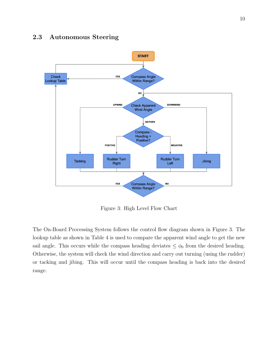## 2.3 Autonomous Steering



Figure 3: High Level Flow Chart

The On-Board Processing System follows the control flow diagram shown in Figure 3. The lookup table as shown in Table 4 is used to compare the apparent wind angle to get the new sail angle. This occurs while the compass heading deviates  $\leq \phi_0$  from the desired heading. Otherwise, the system will check the wind direction and carry out turning (using the rudder) or tacking and jibing. This will occur until the compass heading is back into the desired range.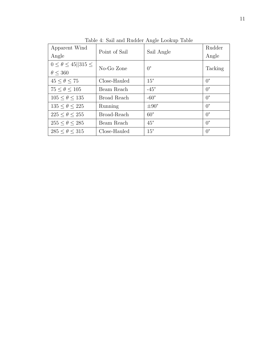| Apparent Wind                        | Point of Sail | Sail Angle       | Rudder      |  |
|--------------------------------------|---------------|------------------|-------------|--|
| Angle                                |               |                  | Angle       |  |
| $0 \leq \theta \leq 45$   315 $\leq$ | No-Go Zone    | $0^{\circ}$      |             |  |
| $\theta \leq 360$                    |               |                  | Tacking     |  |
| $45 < \theta < 75$                   | Close-Hauled  | $15^{\circ}$     | $0^{\circ}$ |  |
| $75 < \theta < 105$                  | Beam Reach    | $-45^{\circ}$    | $0^{\circ}$ |  |
| $105 < \theta < 135$                 | Broad Reach   | $-60^\circ$      | $0^{\circ}$ |  |
| $135 < \theta < 225$                 | Running       | $\pm 90^{\circ}$ | $0^{\circ}$ |  |
| $225 < \theta < 255$                 | Broad-Reach   | $60^{\circ}$     | $0^{\circ}$ |  |
| $255 < \theta < 285$                 | Beam Reach    | $45^{\circ}$     | $0^{\circ}$ |  |
| $285 < \theta < 315$                 | Close-Hauled  | $15^{\circ}$     | $0^{\circ}$ |  |

Table 4: Sail and Rudder Angle Lookup Table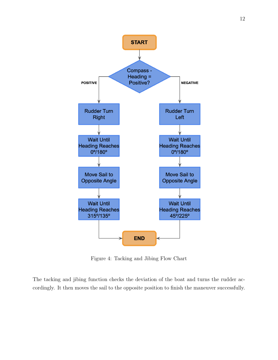

Figure 4: Tacking and Jibing Flow Chart

The tacking and jibing function checks the deviation of the boat and turns the rudder accordingly. It then moves the sail to the opposite position to finish the maneuver successfully.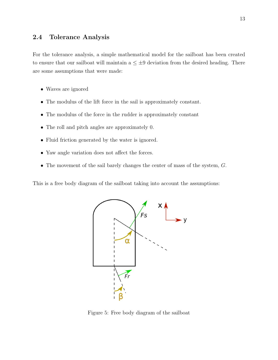### 2.4 Tolerance Analysis

For the tolerance analysis, a simple mathematical model for the sailboat has been created to ensure that our sailboat will maintain  $a \leq \pm 9$  deviation from the desired heading. There are some assumptions that were made:

- Waves are ignored
- The modulus of the lift force in the sail is approximately constant.
- The modulus of the force in the rudder is approximately constant
- The roll and pitch angles are approximately 0.
- Fluid friction generated by the water is ignored.
- Yaw angle variation does not affect the forces.
- The movement of the sail barely changes the center of mass of the system,  $G$ .

This is a free body diagram of the sailboat taking into account the assumptions:



Figure 5: Free body diagram of the sailboat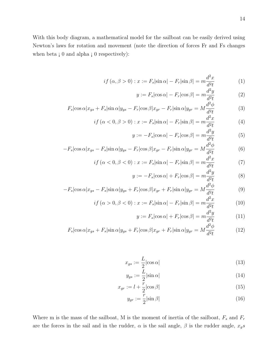With this body diagram, a mathematical model for the sailboat can be easily derived using Newton's laws for rotation and movement (note the direction of forces Fr and Fs changes when beta  $\mathfrak{g}$  0 and alpha  $\mathfrak{g}$  0 respectively):

$$
if (\alpha, \beta > 0) : x := F_s |\sin \alpha| - F_r |\sin \beta| = m \frac{d^2 x}{d^2 t}
$$
 (1)

$$
y := F_s |\cos \alpha| - F_r |\cos \beta| = m \frac{d^2 y}{d^2 t}
$$
 (2)

$$
F_s |\cos \alpha| x_{gs} + F_s |\sin \alpha| y_{gs} - F_r |\cos \beta| x_{gr} - F_r |\sin \alpha| y_{gr} = M \frac{d^2 \phi}{d^2 t}
$$
(3)

$$
if \ (\alpha < 0, \beta > 0) : x := F_s|\sin \alpha| - F_r|\sin \beta| = m\frac{d^2x}{d^2t} \tag{4}
$$

$$
y := -F_s |\cos \alpha| - F_r |\cos \beta| = m \frac{d^2 y}{d^2 t}
$$
 (5)

$$
-F_s|\cos\alpha|x_{gs} - F_s|\sin\alpha|y_{gs} - F_r|\cos\beta|x_{gr} - F_r|\sin\alpha|y_{gr} = M\frac{d^2\phi}{d^2t}
$$
(6)

$$
if \ (\alpha < 0, \beta < 0) : x := F_s | \sin \alpha | - F_r | \sin \beta | = m \frac{d^2 x}{d^2 t} \tag{7}
$$

$$
y := -F_s |\cos \alpha| + F_r |\cos \beta| = m \frac{d^2 y}{d^2 t}
$$
 (8)

$$
-F_s|\cos\alpha|x_{gs} - F_s|\sin\alpha|y_{gs} + F_r|\cos\beta|x_{gr} + F_r|\sin\alpha|y_{gr} = M\frac{d^2\phi}{d^2t}
$$
(9)

$$
if \ (\alpha > 0, \beta < 0) : x := F_s \left| \sin \alpha \right| - F_r \left| \sin \beta \right| = m \frac{d^2 x}{d^2 t} \tag{10}
$$

$$
y := F_s |\cos \alpha| + F_r |\cos \beta| = m \frac{d^2 y}{d^2 t} \tag{11}
$$

$$
F_s |\cos \alpha| x_{gs} + F_s |\sin \alpha| y_{gs} + F_r |\cos \beta| x_{gr} + F_r |\sin \alpha| y_{gr} = M \frac{d^2 \phi}{d^2 t}
$$
 (12)

$$
x_{gs} := \frac{L}{2} |\cos \alpha| \tag{13}
$$

$$
y_{gs} := \frac{L}{2} |\sin \alpha| \tag{14}
$$

$$
x_{gr} := l + \frac{\overline{r}}{2} |\cos \beta| \tag{15}
$$

$$
y_{gr} := \frac{r}{2} |\sin \beta| \tag{16}
$$

Where m is the mass of the sailboat, M is the moment of inertia of the sailboat,  $F_s$  and  $F_r$ are the forces in the sail and in the rudder,  $\alpha$  is the sail angle,  $\beta$  is the rudder angle,  $x_g s$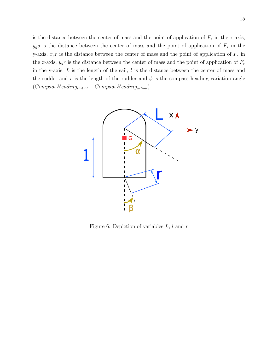is the distance between the center of mass and the point of application of  $F_s$  in the x-axis,  $y_g$ s is the distance between the center of mass and the point of application of  $F_s$  in the y-axis,  $x_g r$  is the distance between the center of mass and the point of application of  $F_r$  in the x-axis,  $y_g r$  is the distance between the center of mass and the point of application of  $F_r$ in the y-axis,  $L$  is the length of the sail,  $l$  is the distance between the center of mass and the rudder and r is the length of the rudder and  $\phi$  is the compass heading variation angle  $(CompassHeading_{initial}-CompassHeading_{actual}).$ 



Figure 6: Depiction of variables  $L, l$  and  $r$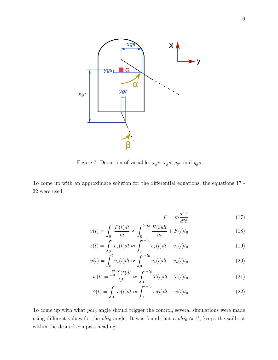

Figure 7: Depiction of variables  $x_g r$ ,  $x_g s$ ,  $y_g r$  and  $y_g s$ 

To come up with an approximate solution for the differential equations, the equations 17 - 22 were used.

$$
F = m \frac{d^2x}{d^2t} \tag{17}
$$

$$
v(t) = \int_0^t \frac{F(t)dt}{m} \approx \int_0^{t-t_0} \frac{F(t)dt}{m} + F(t)t_0
$$
\n(18)

$$
x(t) = \int_0^t v_x(t)dt \approx \int_0^{t-t_0} v_x(t)dt + v_x(t)t_0
$$
\n(19)

$$
y(t) = \int_0^t v_y(t)dt \approx \int_0^{t-t_0} v_y(t)dt + v_y(t)t_0
$$
\n(20)

$$
w(t) = \frac{\int_0^t T(t)dt}{M} \approx \int_0^{t-t_0} T(t)dt + T(t)t_0
$$
\n(21)

$$
\phi(t) = \int_0^t w(t)dt \approx \int_0^{t-t_0} w(t)dt + w(t)t_0
$$
\n(22)

To come up with what  $phi_0$  angle should trigger the control, several simulations were made using different values for the phi<sub>0</sub> angle. It was found that a phi<sub>0</sub>  $\approx$  4°, keeps the sailboat within the desired compass heading.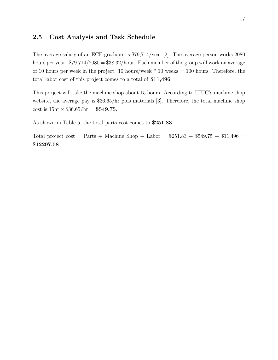### 2.5 Cost Analysis and Task Schedule

The average salary of an ECE graduate is \$79,714/year [2]. The average person works 2080 hours per year.  $$79,714/2080 = $38.32/h$ our. Each member of the group will work an average of 10 hours per week in the project. 10 hours/week  $*$  10 weeks = 100 hours. Therefore, the total labor cost of this project comes to a total of \$11,496.

This project will take the machine shop about 15 hours. According to UIUC's machine shop website, the average pay is \$36.65/hr plus materials [3]. Therefore, the total machine shop cost is  $15hr \times $36.65/hr = $549.75$ .

As shown in Table 5, the total parts cost comes to \$251.83.

Total project cost = Parts + Machine Shop + Labor =  $$251.83 + $549.75 + $11,496 =$ \$12297.58.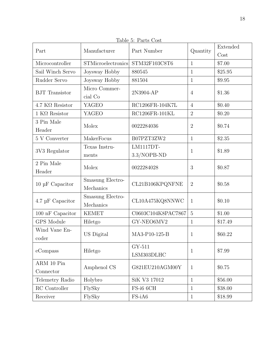| Part                         | ⊥ພບ⊥ບ<br>Manufacturer         | $\sqrt{2}$ . That and $\sqrt{2}$<br>Part Number | Quantity       | Extended<br>Cost |
|------------------------------|-------------------------------|-------------------------------------------------|----------------|------------------|
| Microcontroller              | <b>STMicroelectronics</b>     | STM32F103C8T6                                   | $\mathbf{1}$   | \$7.00           |
| Sail Winch Servo             | Joysway Hobby                 | 880545                                          | $\mathbf{1}$   | \$25.95          |
| Rudder Servo                 | Joysway Hobby                 | 881504                                          | $\mathbf{1}$   | \$9.95           |
| <b>BJT</b> Transistor        | Micro Commer-<br>cial Co      | 2N3904-AP                                       | $\overline{4}$ | \$1.36           |
| $4.7$ K $\Omega$ Resistor    | <b>YAGEO</b>                  | RC1206FR-104K7L                                 | $\overline{4}$ | \$0.40           |
| $1$ K $\Omega$ Resistor      | <b>YAGEO</b>                  | RC1206FR-101KL                                  | $\overline{2}$ | \$0.20           |
| 3 Pin Male<br>Header         | Molex                         | 0022284036                                      | $\overline{2}$ | \$0.74           |
| $5$ V Converter $\,$         | MakerFocus                    | B07PZT3ZW2                                      | $\mathbf{1}$   | \$2.35           |
| 3V3 Regulator                | Texas Instru-<br>ments        | <b>LM1117DT-</b><br>3.3/NOPB-ND                 | $\mathbf{1}$   | \$1.89           |
| 2 Pin Male<br>Header         | Molex                         | 0022284028                                      | 3              | \$0.87           |
| $10~\upmu\text{F}$ Capacitor | Smasung Electro-<br>Mechanics | CL21B106KPQNFNE                                 | $\overline{2}$ | \$0.58           |
| $4.7 \mu F$ Capacitor        | Smasung Electro-<br>Mechanics | CL10A475KQ8NNWC                                 | $\mathbf{1}$   | \$0.10           |
| $100\ \mathrm{nF}$ Capacitor | <b>KEMET</b>                  | C0603C104K8PAC7867                              | $\overline{5}$ | \$1.00           |
| <b>GPS</b> Module            | Hiletgo                       | GY-NEO6MV2                                      | $\mathbf{1}$   | \$17.49          |
| Wind Vane En-<br>coder       | US Digital                    | MA3-P10-125-B                                   | $\mathbf{1}$   | \$60.22          |
| eCompass                     | Hiletgo                       | GY-511<br>LSM303DLHC                            | $\mathbf{1}$   | \$7.99           |
| ARM 10 Pin<br>Connector      | Amphenol CS                   | G821EU210AGM00Y                                 | $\mathbf{1}$   | \$0.75           |
| Telemetry Radio              | Holybro                       | SiK V3 17012                                    | $\mathbf{1}$   | \$56.00          |
| RC Controller                | FlySky                        | FS-i6 6CH                                       | $\mathbf{1}$   | \$38.00          |
| Receiver                     | FlySky                        | FS-iA6                                          | $\mathbf{1}$   | \$18.99          |

Table 5: Parts Cost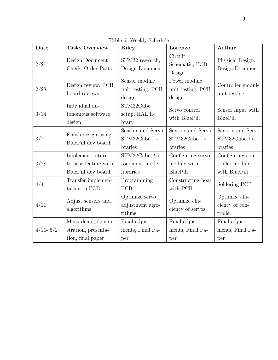| Date         | <b>Tasks Overview</b>                                          | Riley                                         | Lorenzo                                             | Arthur                                              |
|--------------|----------------------------------------------------------------|-----------------------------------------------|-----------------------------------------------------|-----------------------------------------------------|
| 2/21         | Design Document<br>Check, Order Parts                          | STM32 research,<br>Design Document            | Circuit<br>Schematic, PCB<br>Design                 | Physical Design,<br>Design Document                 |
| 2/28         | Design review, PCB<br>board reviews                            | Sensor module<br>unit testing, PCB<br>design  | Power module<br>unit testing, PCB<br>design         | Controller module<br>unit testing                   |
| 3/14         | Individual au-<br>tonomous software<br>design                  | STM32Cube<br>setup, HAL li-<br>brary          | Servo control<br>with BluePill                      | Sensor input with<br>BluePill                       |
| 3/21         | Finish design using<br>BluePill dev board                      | Sensors and Servo<br>STM32Cube Li-<br>braries | Sensors and Servo<br>STM32Cube Li-<br>braries       | Sensors and Servo<br>STM32Cube Li-<br>braries       |
| 3/28         | Implement return<br>to base feature with<br>BluePill dev board | STM32Cube Au-<br>tonomous mode<br>libraries   | Configuring servo<br>module with<br><b>BluePill</b> | Configuring con-<br>troller module<br>with BluePill |
| 4/4          | Transfer implemen-<br>tation to PCB                            | Programming<br><b>PCB</b>                     | Constructing boat<br>with PCB                       | Soldering PCB                                       |
| 4/11         | Adjust sensors and<br>algorithms                               | Optimize servo<br>adjustment algo-<br>rithms  | Optimize effi-<br>ciency of servos                  | Optimize effi-<br>ciency of con-<br>troller         |
| $4/11 - 5/2$ | Mock demo, demon-<br>stration, presenta-<br>tion, final paper  | Final adjust-<br>ments, Final Pa-<br>per      | Final adjust-<br>ments, Final Pa-<br>per            | Final adjust-<br>ments, Final Pa-<br>per            |

Table 6: Weekly Schedule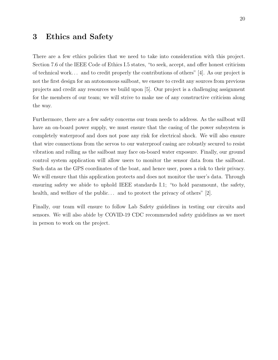## 3 Ethics and Safety

There are a few ethics policies that we need to take into consideration with this project. Section 7.6 of the IEEE Code of Ethics I.5 states, "to seek, accept, and offer honest criticism of technical work. . . and to credit properly the contributions of others" [4]. As our project is not the first design for an autonomous sailboat, we ensure to credit any sources from previous projects and credit any resources we build upon [5]. Our project is a challenging assignment for the members of our team; we will strive to make use of any constructive criticism along the way.

Furthermore, there are a few safety concerns our team needs to address. As the sailboat will have an on-board power supply, we must ensure that the casing of the power subsystem is completely waterproof and does not pose any risk for electrical shock. We will also ensure that wire connections from the servos to our waterproof casing are robustly secured to resist vibration and rolling as the sailboat may face on-board water exposure. Finally, our ground control system application will allow users to monitor the sensor data from the sailboat. Such data as the GPS coordinates of the boat, and hence user, poses a risk to their privacy. We will ensure that this application protects and does not monitor the user's data. Through ensuring safety we abide to uphold IEEE standards I.1; "to hold paramount, the safety, health, and welfare of the public... and to protect the privacy of others"  $[2]$ .

Finally, our team will ensure to follow Lab Safety guidelines in testing our circuits and sensors. We will also abide by COVID-19 CDC recommended safety guidelines as we meet in person to work on the project.